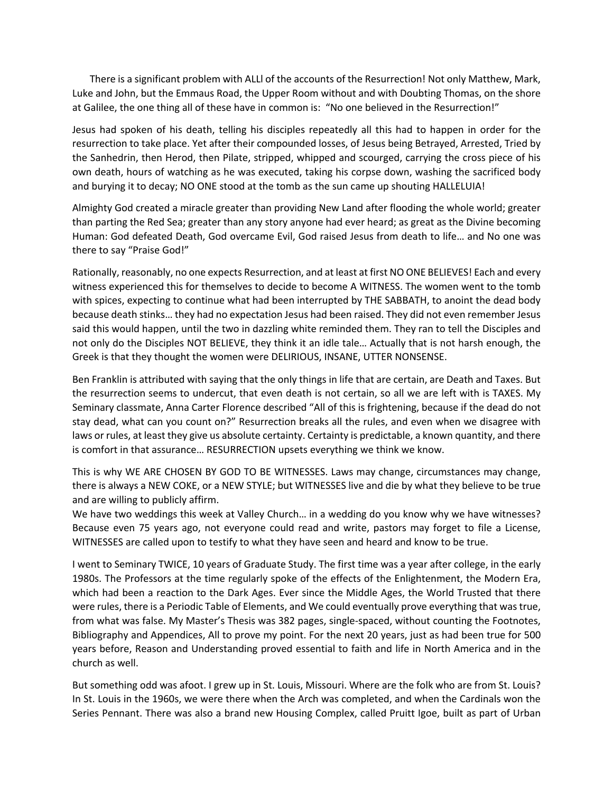There is a significant problem with ALLl of the accounts of the Resurrection! Not only Matthew, Mark, Luke and John, but the Emmaus Road, the Upper Room without and with Doubting Thomas, on the shore at Galilee, the one thing all of these have in common is: "No one believed in the Resurrection!"

Jesus had spoken of his death, telling his disciples repeatedly all this had to happen in order for the resurrection to take place. Yet after their compounded losses, of Jesus being Betrayed, Arrested, Tried by the Sanhedrin, then Herod, then Pilate, stripped, whipped and scourged, carrying the cross piece of his own death, hours of watching as he was executed, taking his corpse down, washing the sacrificed body and burying it to decay; NO ONE stood at the tomb as the sun came up shouting HALLELUIA!

Almighty God created a miracle greater than providing New Land after flooding the whole world; greater than parting the Red Sea; greater than any story anyone had ever heard; as great as the Divine becoming Human: God defeated Death, God overcame Evil, God raised Jesus from death to life… and No one was there to say "Praise God!"

Rationally, reasonably, no one expects Resurrection, and at least at first NO ONE BELIEVES! Each and every witness experienced this for themselves to decide to become A WITNESS. The women went to the tomb with spices, expecting to continue what had been interrupted by THE SABBATH, to anoint the dead body because death stinks… they had no expectation Jesus had been raised. They did not even remember Jesus said this would happen, until the two in dazzling white reminded them. They ran to tell the Disciples and not only do the Disciples NOT BELIEVE, they think it an idle tale… Actually that is not harsh enough, the Greek is that they thought the women were DELIRIOUS, INSANE, UTTER NONSENSE.

Ben Franklin is attributed with saying that the only things in life that are certain, are Death and Taxes. But the resurrection seems to undercut, that even death is not certain, so all we are left with is TAXES. My Seminary classmate, Anna Carter Florence described "All of this is frightening, because if the dead do not stay dead, what can you count on?" Resurrection breaks all the rules, and even when we disagree with laws or rules, at least they give us absolute certainty. Certainty is predictable, a known quantity, and there is comfort in that assurance… RESURRECTION upsets everything we think we know.

This is why WE ARE CHOSEN BY GOD TO BE WITNESSES. Laws may change, circumstances may change, there is always a NEW COKE, or a NEW STYLE; but WITNESSES live and die by what they believe to be true and are willing to publicly affirm.

We have two weddings this week at Valley Church… in a wedding do you know why we have witnesses? Because even 75 years ago, not everyone could read and write, pastors may forget to file a License, WITNESSES are called upon to testify to what they have seen and heard and know to be true.

I went to Seminary TWICE, 10 years of Graduate Study. The first time was a year after college, in the early 1980s. The Professors at the time regularly spoke of the effects of the Enlightenment, the Modern Era, which had been a reaction to the Dark Ages. Ever since the Middle Ages, the World Trusted that there were rules, there is a Periodic Table of Elements, and We could eventually prove everything that was true, from what was false. My Master's Thesis was 382 pages, single-spaced, without counting the Footnotes, Bibliography and Appendices, All to prove my point. For the next 20 years, just as had been true for 500 years before, Reason and Understanding proved essential to faith and life in North America and in the church as well.

But something odd was afoot. I grew up in St. Louis, Missouri. Where are the folk who are from St. Louis? In St. Louis in the 1960s, we were there when the Arch was completed, and when the Cardinals won the Series Pennant. There was also a brand new Housing Complex, called Pruitt Igoe, built as part of Urban